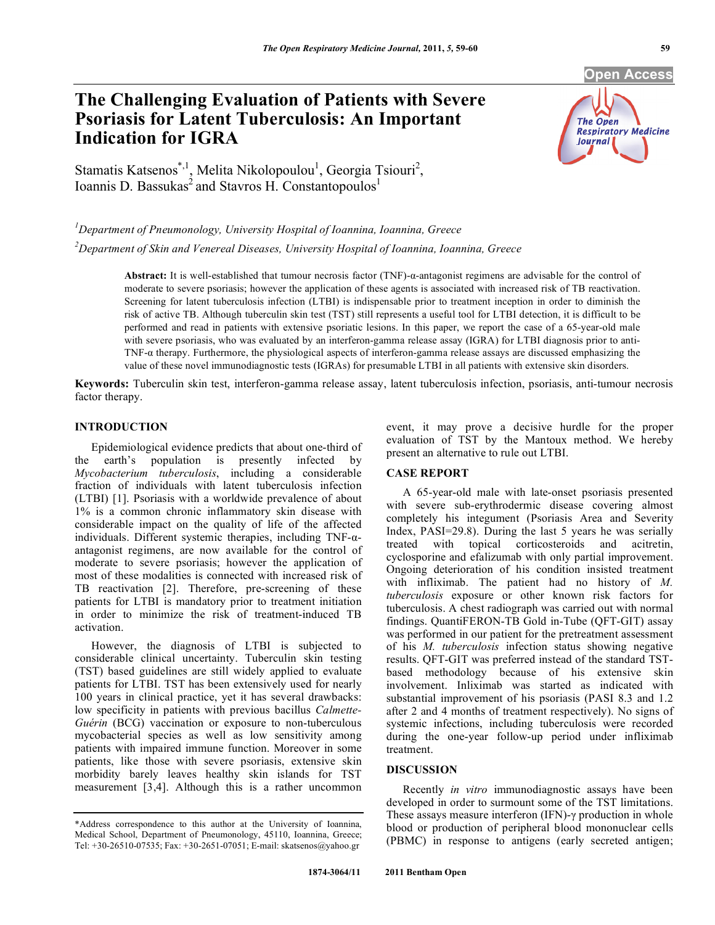# **The Challenging Evaluation of Patients with Severe Psoriasis for Latent Tuberculosis: An Important Indication for IGRA**

Stamatis Katsenos<sup>\*,1</sup>, Melita Nikolopoulou<sup>1</sup>, Georgia Tsiouri<sup>2</sup>, Ioannis D. Bassukas<sup>2</sup> and Stavros H. Constantopoulos<sup>1</sup>

*1 Department of Pneumonology, University Hospital of Ioannina, Ioannina, Greece 2 Department of Skin and Venereal Diseases, University Hospital of Ioannina, Ioannina, Greece* 

> Abstract: It is well-established that tumour necrosis factor (TNF)-a-antagonist regimens are advisable for the control of moderate to severe psoriasis; however the application of these agents is associated with increased risk of TB reactivation. Screening for latent tuberculosis infection (LTBI) is indispensable prior to treatment inception in order to diminish the risk of active TB. Although tuberculin skin test (TST) still represents a useful tool for LTBI detection, it is difficult to be performed and read in patients with extensive psoriatic lesions. In this paper, we report the case of a 65-year-old male with severe psoriasis, who was evaluated by an interferon-gamma release assay (IGRA) for LTBI diagnosis prior to anti-TNF- $\alpha$  therapy. Furthermore, the physiological aspects of interferon-gamma release assays are discussed emphasizing the value of these novel immunodiagnostic tests (IGRAs) for presumable LTBI in all patients with extensive skin disorders.

**Keywords:** Tuberculin skin test, interferon-gamma release assay, latent tuberculosis infection, psoriasis, anti-tumour necrosis factor therapy.

## **INTRODUCTION**

 Epidemiological evidence predicts that about one-third of the earth's population is presently infected by *Mycobacterium tuberculosis*, including a considerable fraction of individuals with latent tuberculosis infection (LTBI) [1]. Psoriasis with a worldwide prevalence of about 1% is a common chronic inflammatory skin disease with considerable impact on the quality of life of the affected individuals. Different systemic therapies, including  $TNF-\alpha$ antagonist regimens, are now available for the control of moderate to severe psoriasis; however the application of most of these modalities is connected with increased risk of TB reactivation [2]. Therefore, pre-screening of these patients for LTBI is mandatory prior to treatment initiation in order to minimize the risk of treatment-induced TB activation.

 However, the diagnosis of LTBI is subjected to considerable clinical uncertainty. Tuberculin skin testing (TST) based guidelines are still widely applied to evaluate patients for LTBI. TST has been extensively used for nearly 100 years in clinical practice, yet it has several drawbacks: low specificity in patients with previous bacillus *Calmette-Guérin* (BCG) vaccination or exposure to non-tuberculous mycobacterial species as well as low sensitivity among patients with impaired immune function. Moreover in some patients, like those with severe psoriasis, extensive skin morbidity barely leaves healthy skin islands for TST measurement [3,4]. Although this is a rather uncommon

event, it may prove a decisive hurdle for the proper evaluation of TST by the Mantoux method. We hereby present an alternative to rule out LTBI.

## **CASE REPORT**

 A 65-year-old male with late-onset psoriasis presented with severe sub-erythrodermic disease covering almost completely his integument (Psoriasis Area and Severity Index, PASI=29.8). During the last 5 years he was serially treated with topical corticosteroids and acitretin, cyclosporine and efalizumab with only partial improvement. Ongoing deterioration of his condition insisted treatment with infliximab. The patient had no history of *M. tuberculosis* exposure or other known risk factors for tuberculosis. A chest radiograph was carried out with normal findings. QuantiFERON-TB Gold in-Tube (QFT-GIT) assay was performed in our patient for the pretreatment assessment of his *M. tuberculosis* infection status showing negative results. QFT-GIT was preferred instead of the standard TSTbased methodology because of his extensive skin involvement. Inliximab was started as indicated with substantial improvement of his psoriasis (PASI 8.3 and 1.2 after 2 and 4 months of treatment respectively). No signs of systemic infections, including tuberculosis were recorded during the one-year follow-up period under infliximab treatment.

# **DISCUSSION**

 Recently *in vitro* immunodiagnostic assays have been developed in order to surmount some of the TST limitations. These assays measure interferon  $(IFN)$ - $\gamma$  production in whole blood or production of peripheral blood mononuclear cells (PBMC) in response to antigens (early secreted antigen;



<sup>\*</sup>Address correspondence to this author at the University of Ioannina, Medical School, Department of Pneumonology, 45110, Ioannina, Greece; Tel: +30-26510-07535; Fax: +30-2651-07051; E-mail: skatsenos@yahoo.gr